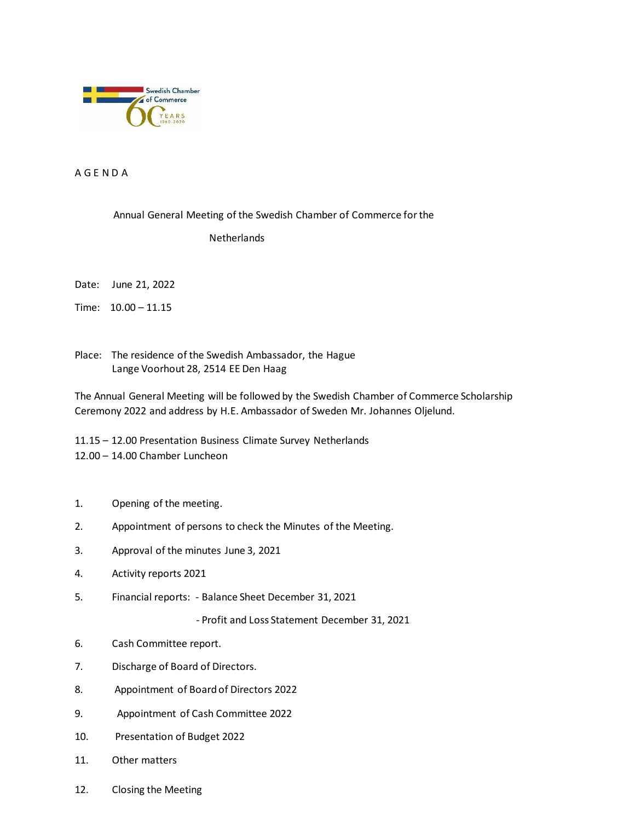

A G E N D A

## Annual General Meeting of the Swedish Chamber of Commerce for the

## Netherlands

Date: June 21, 2022

Time: 10.00 – 11.15

Place: The residence of the Swedish Ambassador, the Hague Lange Voorhout 28, 2514 EE Den Haag

The Annual General Meeting will be followed by the Swedish Chamber of Commerce Scholarship Ceremony 2022 and address by H.E. Ambassador of Sweden Mr. Johannes Oljelund.

11.15 – 12.00 Presentation Business Climate Survey Netherlands 12.00 – 14.00 Chamber Luncheon

- 1. Opening of the meeting.
- 2. Appointment of persons to check the Minutes of the Meeting.
- 3. Approval of the minutes June 3, 2021
- 4. Activity reports 2021
- 5. Financial reports: Balance Sheet December 31, 2021

- Profit and Loss Statement December 31, 2021

- 6. Cash Committee report.
- 7. Discharge of Board of Directors.
- 8. Appointment of Board of Directors 2022
- 9. Appointment of Cash Committee 2022
- 10. Presentation of Budget 2022
- 11. Other matters
- 12. Closing the Meeting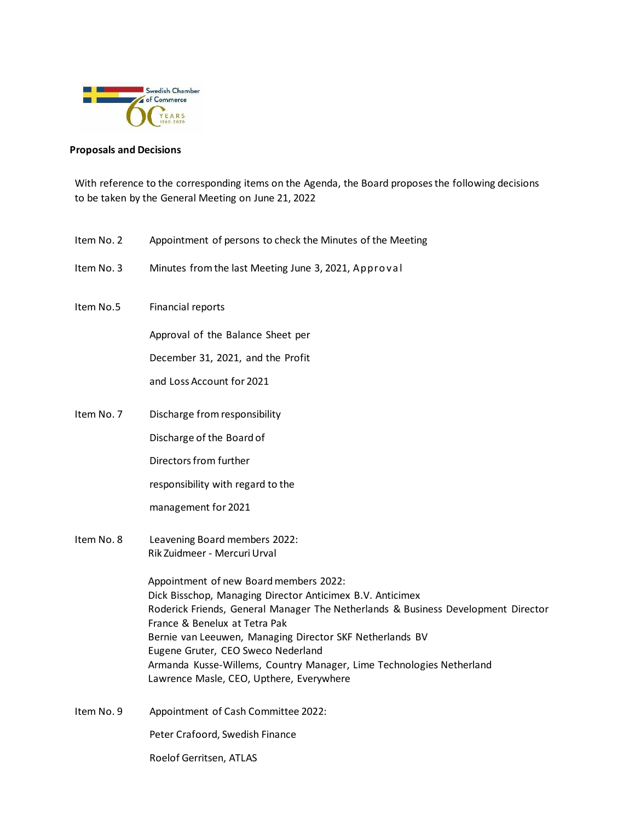

## **Proposals and Decisions**

With reference to the corresponding items on the Agenda, the Board proposesthe following decisions to be taken by the General Meeting on June 21, 2022

- Item No. 2 Appointment of persons to check the Minutes of the Meeting
- Item No. 3 Minutes from the last Meeting June 3, 2021, Appro va l
- Item No.5 Financial reports

Approval of the Balance Sheet per

December 31, 2021, and the Profit

and Loss Account for 2021

Item No. 7 Discharge fromresponsibility

Discharge of the Board of

Directors from further

responsibility with regard to the

management for 2021

Item No. 8 Leavening Board members 2022: Rik Zuidmeer - Mercuri Urval

> Appointment of new Board members 2022: Dick Bisschop, Managing Director Anticimex B.V. Anticimex Roderick Friends, General Manager The Netherlands & Business Development Director France & Benelux at Tetra Pak Bernie van Leeuwen, Managing Director SKF Netherlands BV Eugene Gruter, CEO Sweco Nederland Armanda Kusse-Willems, Country Manager, Lime Technologies Netherland Lawrence Masle, CEO, Upthere, Everywhere

Item No. 9 Appointment of Cash Committee 2022:

Peter Crafoord, Swedish Finance

Roelof Gerritsen, ATLAS